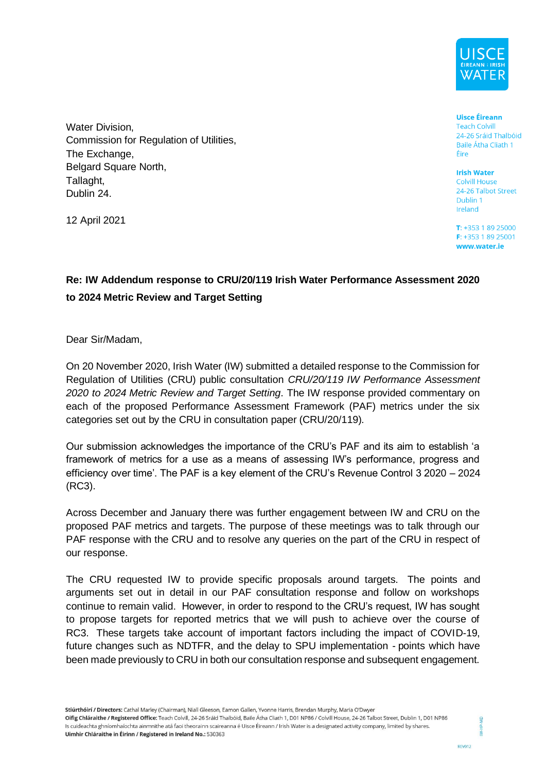

Water Division, Commission for Regulation of Utilities, The Exchange, Belgard Square North, Tallaght, Dublin 24.

12 April 2021

**Uisce Éireann Teach Colvill** 24-26 Sráid Thalbóid Baile Átha Cliath 1 Éire

**Irish Water Colvill House** 24-26 Talbot Street Dublin 1 Ireland

 $T: +35318925000$ F: +353 1 89 25001 www.water.ie

### **Re: IW Addendum response to CRU/20/119 Irish Water Performance Assessment 2020 to 2024 Metric Review and Target Setting**

Dear Sir/Madam,

On 20 November 2020, Irish Water (IW) submitted a detailed response to the Commission for Regulation of Utilities (CRU) public consultation *CRU/20/119 IW Performance Assessment 2020 to 2024 Metric Review and Target Setting*. The IW response provided commentary on each of the proposed Performance Assessment Framework (PAF) metrics under the six categories set out by the CRU in consultation paper (CRU/20/119).

Our submission acknowledges the importance of the CRU's PAF and its aim to establish 'a framework of metrics for a use as a means of assessing IW's performance, progress and efficiency over time'. The PAF is a key element of the CRU's Revenue Control 3 2020 – 2024 (RC3).

Across December and January there was further engagement between IW and CRU on the proposed PAF metrics and targets. The purpose of these meetings was to talk through our PAF response with the CRU and to resolve any queries on the part of the CRU in respect of our response.

The CRU requested IW to provide specific proposals around targets. The points and arguments set out in detail in our PAF consultation response and follow on workshops continue to remain valid. However, in order to respond to the CRU's request, IW has sought to propose targets for reported metrics that we will push to achieve over the course of RC3. These targets take account of important factors including the impact of COVID-19, future changes such as NDTFR, and the delay to SPU implementation - points which have been made previously to CRU in both our consultation response and subsequent engagement.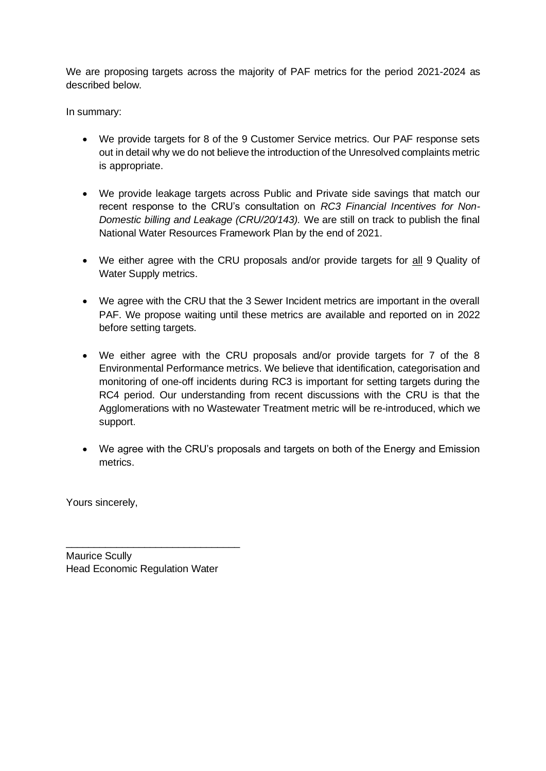We are proposing targets across the majority of PAF metrics for the period 2021-2024 as described below.

In summary:

- We provide targets for 8 of the 9 Customer Service metrics. Our PAF response sets out in detail why we do not believe the introduction of the Unresolved complaints metric is appropriate.
- We provide leakage targets across Public and Private side savings that match our recent response to the CRU's consultation on *RC3 Financial Incentives for Non-Domestic billing and Leakage (CRU/20/143).* We are still on track to publish the final National Water Resources Framework Plan by the end of 2021.
- We either agree with the CRU proposals and/or provide targets for all 9 Quality of Water Supply metrics.
- We agree with the CRU that the 3 Sewer Incident metrics are important in the overall PAF. We propose waiting until these metrics are available and reported on in 2022 before setting targets.
- We either agree with the CRU proposals and/or provide targets for 7 of the 8 Environmental Performance metrics. We believe that identification, categorisation and monitoring of one-off incidents during RC3 is important for setting targets during the RC4 period. Our understanding from recent discussions with the CRU is that the Agglomerations with no Wastewater Treatment metric will be re-introduced, which we support.
- We agree with the CRU's proposals and targets on both of the Energy and Emission metrics.

Yours sincerely,

Maurice Scully Head Economic Regulation Water

\_\_\_\_\_\_\_\_\_\_\_\_\_\_\_\_\_\_\_\_\_\_\_\_\_\_\_\_\_\_\_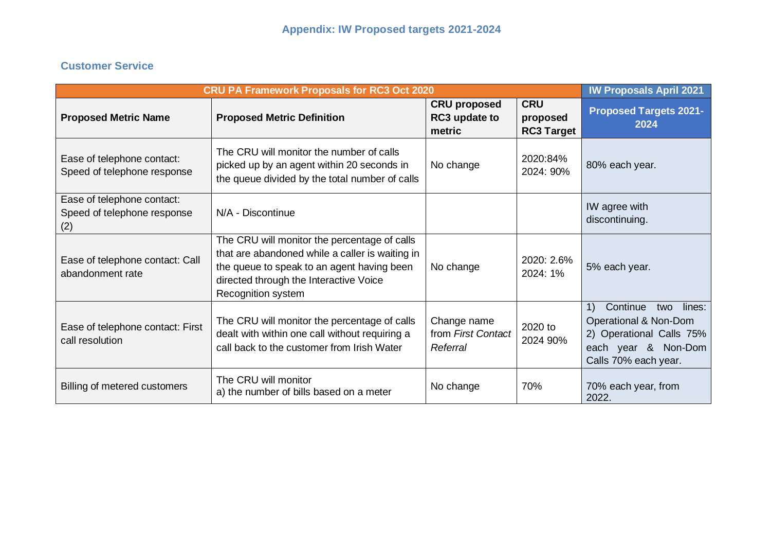### **Customer Service**

|                                                                  | <b>CRU PA Framework Proposals for RC3 Oct 2020</b>                                                                                                                                                            |                                                |                                             | <b>IW Proposals April 2021</b>                                                                                                                                |
|------------------------------------------------------------------|---------------------------------------------------------------------------------------------------------------------------------------------------------------------------------------------------------------|------------------------------------------------|---------------------------------------------|---------------------------------------------------------------------------------------------------------------------------------------------------------------|
| <b>Proposed Metric Name</b>                                      | <b>Proposed Metric Definition</b>                                                                                                                                                                             | <b>CRU proposed</b><br>RC3 update to<br>metric | <b>CRU</b><br>proposed<br><b>RC3 Target</b> | <b>Proposed Targets 2021-</b><br>2024                                                                                                                         |
| Ease of telephone contact:<br>Speed of telephone response        | The CRU will monitor the number of calls<br>picked up by an agent within 20 seconds in<br>the queue divided by the total number of calls                                                                      | No change                                      | 2020:84%<br>2024: 90%                       | 80% each year.                                                                                                                                                |
| Ease of telephone contact:<br>Speed of telephone response<br>(2) | N/A - Discontinue                                                                                                                                                                                             |                                                |                                             | IW agree with<br>discontinuing.                                                                                                                               |
| Ease of telephone contact: Call<br>abandonment rate              | The CRU will monitor the percentage of calls<br>that are abandoned while a caller is waiting in<br>the queue to speak to an agent having been<br>directed through the Interactive Voice<br>Recognition system | No change                                      | 2020: 2.6%<br>2024: 1%                      | 5% each year.                                                                                                                                                 |
| Ease of telephone contact: First<br>call resolution              | The CRU will monitor the percentage of calls<br>dealt with within one call without requiring a<br>call back to the customer from Irish Water                                                                  | Change name<br>from First Contact<br>Referral  | 2020 to<br>2024 90%                         | Continue<br>$\left( \frac{1}{2} \right)$<br>two<br>lines:<br>Operational & Non-Dom<br>2) Operational Calls 75%<br>each year & Non-Dom<br>Calls 70% each year. |
| Billing of metered customers                                     | The CRU will monitor<br>a) the number of bills based on a meter                                                                                                                                               | No change                                      | 70%                                         | 70% each year, from<br>2022.                                                                                                                                  |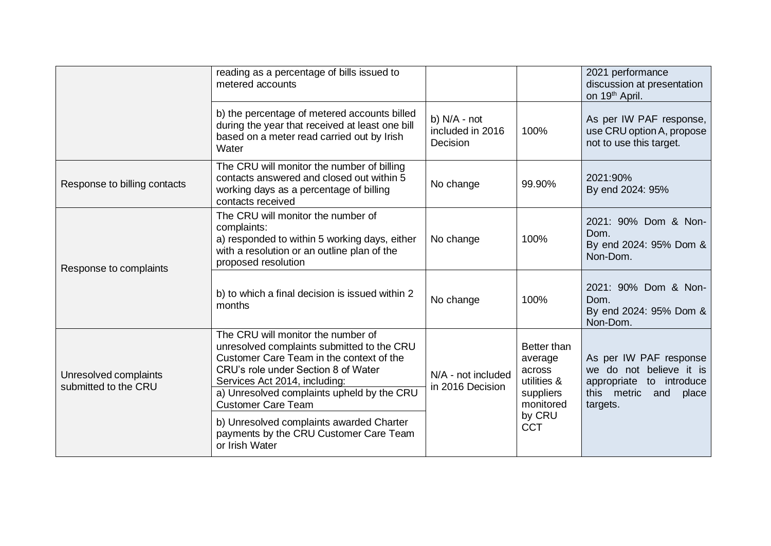|                                               | reading as a percentage of bills issued to<br>metered accounts                                                                                                                                                                                                                  |                                              |                                                                           | 2021 performance<br>discussion at presentation<br>on 19 <sup>th</sup> April.                                                |
|-----------------------------------------------|---------------------------------------------------------------------------------------------------------------------------------------------------------------------------------------------------------------------------------------------------------------------------------|----------------------------------------------|---------------------------------------------------------------------------|-----------------------------------------------------------------------------------------------------------------------------|
|                                               | b) the percentage of metered accounts billed<br>during the year that received at least one bill<br>based on a meter read carried out by Irish<br>Water                                                                                                                          | b) N/A - not<br>included in 2016<br>Decision | 100%                                                                      | As per IW PAF response,<br>use CRU option A, propose<br>not to use this target.                                             |
| Response to billing contacts                  | The CRU will monitor the number of billing<br>contacts answered and closed out within 5<br>working days as a percentage of billing<br>contacts received                                                                                                                         | No change                                    | 99.90%                                                                    | 2021:90%<br>By end 2024: 95%                                                                                                |
| Response to complaints                        | The CRU will monitor the number of<br>complaints:<br>a) responded to within 5 working days, either<br>with a resolution or an outline plan of the<br>proposed resolution                                                                                                        | No change                                    | 100%                                                                      | 2021: 90% Dom & Non-<br>Dom.<br>By end 2024: 95% Dom &<br>Non-Dom.                                                          |
|                                               | b) to which a final decision is issued within 2<br>months                                                                                                                                                                                                                       | No change                                    | 100%                                                                      | 2021: 90% Dom & Non-<br>Dom.<br>By end 2024: 95% Dom &<br>Non-Dom.                                                          |
| Unresolved complaints<br>submitted to the CRU | The CRU will monitor the number of<br>unresolved complaints submitted to the CRU<br>Customer Care Team in the context of the<br>CRU's role under Section 8 of Water<br>Services Act 2014, including:<br>a) Unresolved complaints upheld by the CRU<br><b>Customer Care Team</b> | N/A - not included<br>in 2016 Decision       | Better than<br>average<br>across<br>utilities &<br>suppliers<br>monitored | As per IW PAF response<br>we do not believe it is<br>appropriate<br>to introduce<br>this metric<br>and<br>place<br>targets. |
|                                               | b) Unresolved complaints awarded Charter<br>payments by the CRU Customer Care Team<br>or Irish Water                                                                                                                                                                            |                                              | by CRU<br><b>CCT</b>                                                      |                                                                                                                             |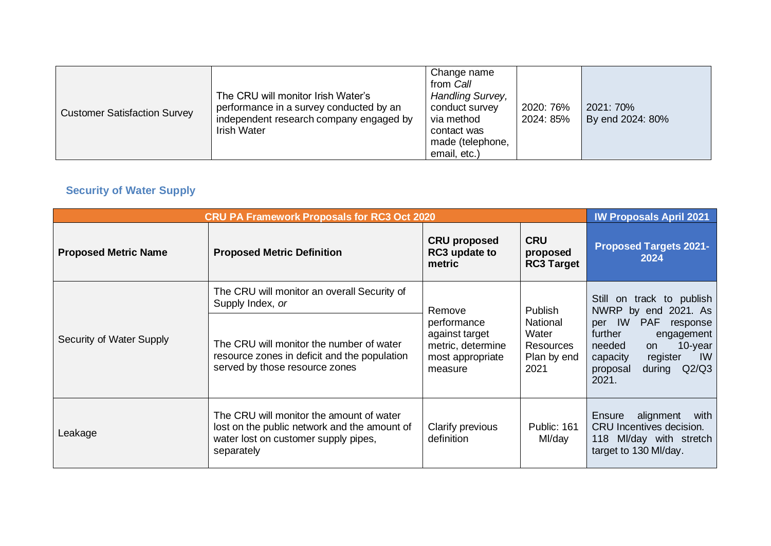| <b>Customer Satisfaction Survey</b> | The CRU will monitor Irish Water's<br>performance in a survey conducted by an<br>independent research company engaged by<br><b>Irish Water</b> | Change name<br>from Call<br>Handling Survey,<br>conduct survey<br>via method<br>contact was<br>made (telephone,<br>email, etc.) | 2020: 76%<br>2024: 85% | 2021: 70%<br>By end 2024: 80% |
|-------------------------------------|------------------------------------------------------------------------------------------------------------------------------------------------|---------------------------------------------------------------------------------------------------------------------------------|------------------------|-------------------------------|
|-------------------------------------|------------------------------------------------------------------------------------------------------------------------------------------------|---------------------------------------------------------------------------------------------------------------------------------|------------------------|-------------------------------|

# **Security of Water Supply**

|                             | <b>CRU PA Framework Proposals for RC3 Oct 2020</b>                                                                                             |                                                                                   |                                                       | <b>IW Proposals April 2021</b>                                                                                                                                    |
|-----------------------------|------------------------------------------------------------------------------------------------------------------------------------------------|-----------------------------------------------------------------------------------|-------------------------------------------------------|-------------------------------------------------------------------------------------------------------------------------------------------------------------------|
| <b>Proposed Metric Name</b> | <b>Proposed Metric Definition</b>                                                                                                              | <b>CRU proposed</b><br>RC3 update to<br>metric                                    | <b>CRU</b><br>proposed<br><b>RC3 Target</b>           | <b>Proposed Targets 2021-</b><br>2024                                                                                                                             |
| Security of Water Supply    | The CRU will monitor an overall Security of<br>Supply Index, or                                                                                | Remove                                                                            | Publish                                               | Still on track to publish<br>NWRP by end 2021. As                                                                                                                 |
|                             | The CRU will monitor the number of water<br>resource zones in deficit and the population<br>served by those resource zones                     | performance<br>against target<br>metric, determine<br>most appropriate<br>measure | National<br>Water<br>Resources<br>Plan by end<br>2021 | per IW<br>PAF<br>response<br>further<br>engagement<br>$10$ -year<br>needed<br>on<br>$\mathsf{IW}$<br>capacity<br>register<br>Q2/Q3<br>proposal<br>during<br>2021. |
| Leakage                     | The CRU will monitor the amount of water<br>lost on the public network and the amount of<br>water lost on customer supply pipes,<br>separately | Clarify previous<br>definition                                                    | Public: 161<br>Ml/day                                 | Ensure<br>alignment<br>with<br>CRU Incentives decision.<br>118 MI/day with stretch<br>target to 130 MI/day.                                                       |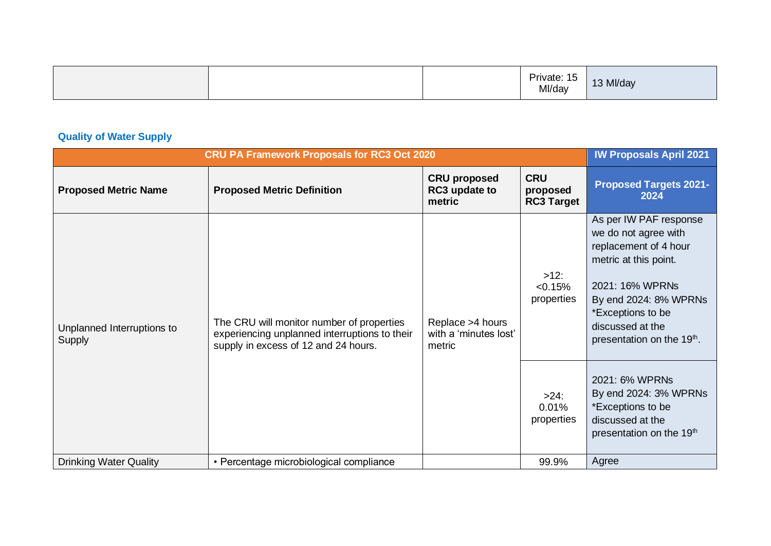|  | Private: 15<br>Ml/day | 13 Ml/day |
|--|-----------------------|-----------|
|--|-----------------------|-----------|

# **Quality of Water Supply**

| <b>CRU PA Framework Proposals for RC3 Oct 2020</b> | <b>IW Proposals April 2021</b>                                                                                                     |                                                     |                                             |                                                                                                                                                                                                                                 |
|----------------------------------------------------|------------------------------------------------------------------------------------------------------------------------------------|-----------------------------------------------------|---------------------------------------------|---------------------------------------------------------------------------------------------------------------------------------------------------------------------------------------------------------------------------------|
| <b>Proposed Metric Name</b>                        | <b>Proposed Metric Definition</b>                                                                                                  | <b>CRU proposed</b><br>RC3 update to<br>metric      | <b>CRU</b><br>proposed<br><b>RC3 Target</b> | <b>Proposed Targets 2021-</b><br>2024                                                                                                                                                                                           |
| Unplanned Interruptions to<br>Supply               | The CRU will monitor number of properties<br>experiencing unplanned interruptions to their<br>supply in excess of 12 and 24 hours. | Replace >4 hours<br>with a 'minutes lost'<br>metric | $>12$ :<br>< 0.15%<br>properties            | As per IW PAF response<br>we do not agree with<br>replacement of 4 hour<br>metric at this point.<br>2021: 16% WPRNs<br>By end 2024: 8% WPRNs<br>*Exceptions to be<br>discussed at the<br>presentation on the 19 <sup>th</sup> . |
|                                                    |                                                                                                                                    |                                                     | $>24$ :<br>0.01%<br>properties              | 2021: 6% WPRNs<br>By end 2024: 3% WPRNs<br>*Exceptions to be<br>discussed at the<br>presentation on the 19 <sup>th</sup>                                                                                                        |
| <b>Drinking Water Quality</b>                      | • Percentage microbiological compliance                                                                                            |                                                     | 99.9%                                       | Agree                                                                                                                                                                                                                           |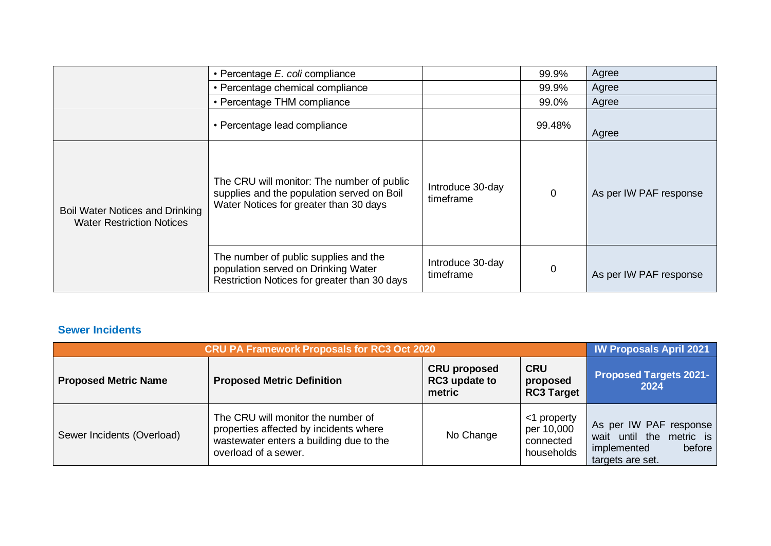|                                                                            | • Percentage E. coli compliance                                                                                                    |                               | 99.9%          | Agree                  |
|----------------------------------------------------------------------------|------------------------------------------------------------------------------------------------------------------------------------|-------------------------------|----------------|------------------------|
|                                                                            | • Percentage chemical compliance                                                                                                   |                               | 99.9%          | Agree                  |
|                                                                            | • Percentage THM compliance                                                                                                        |                               | 99.0%          | Agree                  |
|                                                                            | • Percentage lead compliance                                                                                                       |                               | 99.48%         | Agree                  |
| <b>Boil Water Notices and Drinking</b><br><b>Water Restriction Notices</b> | The CRU will monitor: The number of public<br>supplies and the population served on Boil<br>Water Notices for greater than 30 days | Introduce 30-day<br>timeframe | $\mathbf 0$    | As per IW PAF response |
|                                                                            | The number of public supplies and the<br>population served on Drinking Water<br>Restriction Notices for greater than 30 days       | Introduce 30-day<br>timeframe | $\overline{0}$ | As per IW PAF response |

### **Sewer Incidents**

| <b>CRU PA Framework Proposals for RC3 Oct 2020</b> |                                                                                                                                                 |                                                |                                                      | <b>IW Proposals April 2021</b>                                                                  |
|----------------------------------------------------|-------------------------------------------------------------------------------------------------------------------------------------------------|------------------------------------------------|------------------------------------------------------|-------------------------------------------------------------------------------------------------|
| <b>Proposed Metric Name</b>                        | <b>Proposed Metric Definition</b>                                                                                                               | <b>CRU proposed</b><br>RC3 update to<br>metric | <b>CRU</b><br>proposed<br><b>RC3 Target</b>          | <b>Proposed Targets 2021-</b><br>2024                                                           |
| Sewer Incidents (Overload)                         | The CRU will monitor the number of<br>properties affected by incidents where<br>wastewater enters a building due to the<br>overload of a sewer. | No Change                                      | <1 property<br>per 10,000<br>connected<br>households | As per IW PAF response<br>wait until the metric is<br>before<br>implemented<br>targets are set. |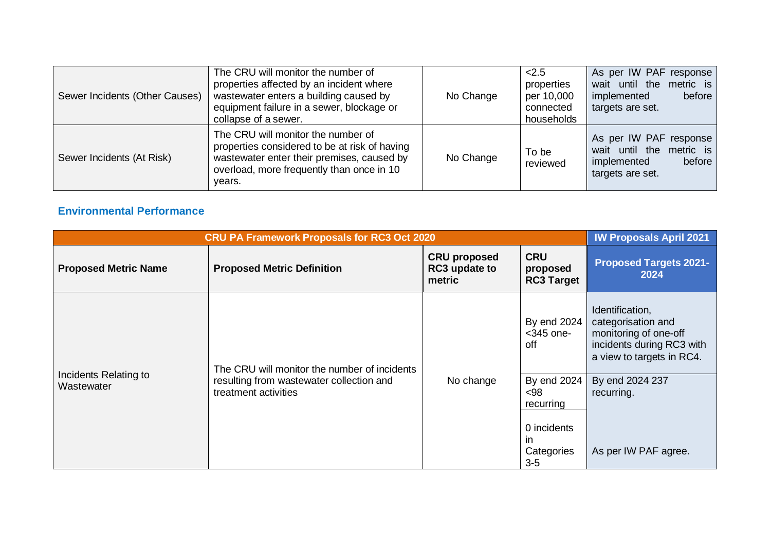| Sewer Incidents (Other Causes) | The CRU will monitor the number of<br>properties affected by an incident where<br>wastewater enters a building caused by<br>equipment failure in a sewer, blockage or<br>collapse of a sewer. | No Change | < 2.5<br>properties<br>per 10,000<br>connected<br>households | As per IW PAF response<br>wait until the metric is<br>implemented<br>before<br>targets are set. |
|--------------------------------|-----------------------------------------------------------------------------------------------------------------------------------------------------------------------------------------------|-----------|--------------------------------------------------------------|-------------------------------------------------------------------------------------------------|
| Sewer Incidents (At Risk)      | The CRU will monitor the number of<br>properties considered to be at risk of having<br>wastewater enter their premises, caused by<br>overload, more frequently than once in 10<br>years.      | No Change | To be<br>reviewed                                            | As per IW PAF response<br>wait until the metric is<br>before<br>implemented<br>targets are set. |

#### **Environmental Performance**

| <b>CRU PA Framework Proposals for RC3 Oct 2020</b> | <b>IW Proposals April 2021</b>                                                                                   |                                                |                                             |                                                                                                                          |
|----------------------------------------------------|------------------------------------------------------------------------------------------------------------------|------------------------------------------------|---------------------------------------------|--------------------------------------------------------------------------------------------------------------------------|
| <b>Proposed Metric Name</b>                        | <b>Proposed Metric Definition</b>                                                                                | <b>CRU proposed</b><br>RC3 update to<br>metric | <b>CRU</b><br>proposed<br><b>RC3 Target</b> | <b>Proposed Targets 2021-</b><br>2024                                                                                    |
| Incidents Relating to<br>Wastewater                | The CRU will monitor the number of incidents<br>resulting from wastewater collection and<br>treatment activities |                                                | By end 2024<br>$<$ 345 one-<br>off          | Identification,<br>categorisation and<br>monitoring of one-off<br>incidents during RC3 with<br>a view to targets in RC4. |
|                                                    |                                                                                                                  | No change                                      | By end 2024<br>$98$<br>recurring            | By end 2024 237<br>recurring.                                                                                            |
|                                                    |                                                                                                                  |                                                | 0 incidents<br>-in<br>Categories<br>$3-5$   | As per IW PAF agree.                                                                                                     |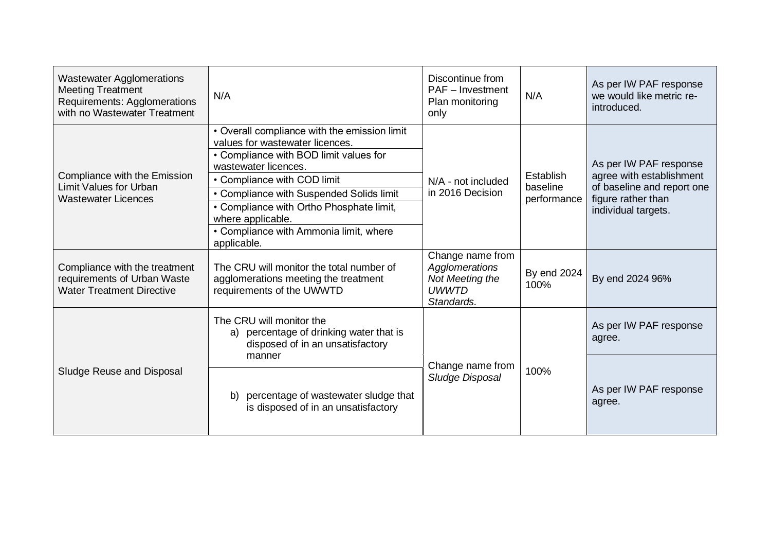| <b>Wastewater Agglomerations</b><br><b>Meeting Treatment</b><br>Requirements: Agglomerations<br>with no Wastewater Treatment | N/A                                                                                                                                                                                                                                                                                                                                                    | Discontinue from<br>PAF - Investment<br>Plan monitoring<br>only                     | N/A                                  | As per IW PAF response<br>we would like metric re-<br>introduced.                                                             |
|------------------------------------------------------------------------------------------------------------------------------|--------------------------------------------------------------------------------------------------------------------------------------------------------------------------------------------------------------------------------------------------------------------------------------------------------------------------------------------------------|-------------------------------------------------------------------------------------|--------------------------------------|-------------------------------------------------------------------------------------------------------------------------------|
| Compliance with the Emission<br><b>Limit Values for Urban</b><br><b>Wastewater Licences</b>                                  | • Overall compliance with the emission limit<br>values for wastewater licences.<br>• Compliance with BOD limit values for<br>wastewater licences.<br>• Compliance with COD limit<br>• Compliance with Suspended Solids limit<br>• Compliance with Ortho Phosphate limit,<br>where applicable.<br>• Compliance with Ammonia limit, where<br>applicable. | N/A - not included<br>in 2016 Decision                                              | Establish<br>baseline<br>performance | As per IW PAF response<br>agree with establishment<br>of baseline and report one<br>figure rather than<br>individual targets. |
| Compliance with the treatment<br>requirements of Urban Waste<br><b>Water Treatment Directive</b>                             | The CRU will monitor the total number of<br>agglomerations meeting the treatment<br>requirements of the UWWTD                                                                                                                                                                                                                                          | Change name from<br>Agglomerations<br>Not Meeting the<br><b>UWWTD</b><br>Standards. | By end 2024<br>100%                  | By end 2024 96%                                                                                                               |
| Sludge Reuse and Disposal                                                                                                    | The CRU will monitor the<br>a) percentage of drinking water that is<br>disposed of in an unsatisfactory<br>manner                                                                                                                                                                                                                                      |                                                                                     | 100%                                 | As per IW PAF response<br>agree.                                                                                              |
|                                                                                                                              | percentage of wastewater sludge that<br>b)<br>is disposed of in an unsatisfactory                                                                                                                                                                                                                                                                      | Change name from<br>Sludge Disposal                                                 |                                      | As per IW PAF response<br>agree.                                                                                              |